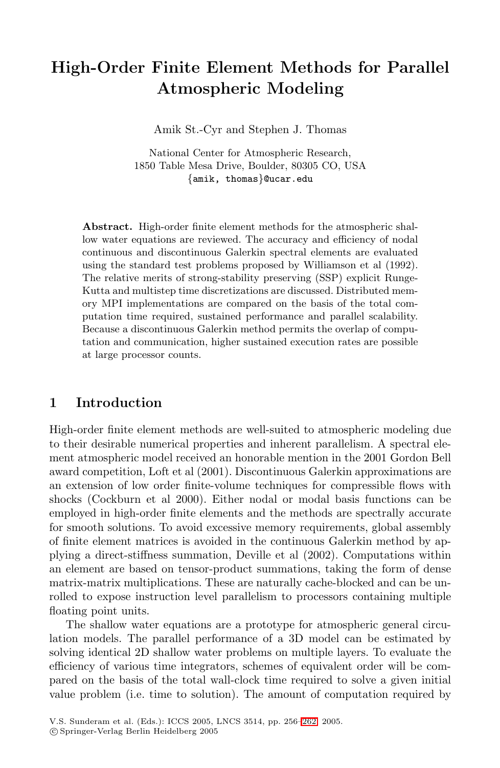# **High-Order Finite Element Methods for Parallel Atmospheric Modeling**

Amik St.-Cyr and Stephen J. Thomas

National Center for Atmospheric Research, 1850 Table Mesa Drive, Boulder, 80305 CO, USA {amik, thomas}@ucar.edu

**Abstract.** High-order finite element methods for the atmospheric shallow water equations are reviewed. The accuracy and efficiency of nodal continuous and discontinuous Galerkin spectral elements are evaluated using the standard test problems proposed by Williamson et al (1992). The relative merits of strong-stability preserving (SSP) explicit Runge-Kutta and multistep time discretizations are discussed. Distributed memory MPI implementations are compared on the basis of the total computation time required, sustained performance and parallel scalability. Because a discontinuous Galerkin method permits the overlap of computation and communication, higher sustained execution rates are possible at large processor counts.

## **1 Introduction**

High-order finite element methods are well-suited to atmospheric modeling due to their desirable numerical properties and inherent parallelism. A spectral element atmospheric model received an honorable mention in the 2001 Gordon Bell award competition, Loft et al (2001). Discontinuous Galerkin approximations are an extension of low order finite-volume techniques for compressible flows with shocks (Cockburn et al 2000). Either nodal or modal basis functions can be employed in high-order finite elements and the methods are spectrally accurate for smooth solutions. To avoid excessive memory requirements, global assembly of finite element matrices is avoided in the continuous Galerkin method by applying a direct-stiffness summation, Deville et al (2002). Computations within an element are based on tensor-product summations, taking the form of dense matrix-matrix multiplications. These are naturally cache-blocked and can be unrolled to expose instruction level parallelism to processors containing multiple floating point units.

The shallow water equations are a prototype for atmospheric general circulation models. The parallel performance of a 3D model can be estimated by solving identical 2D shallow water problems on multiple layers. To evaluate the efficiency of various time integrators, schemes of equivalent order will be compared on the basis of the total wall-clock time required to solve a given initial value problem (i.e. time to solution). The amount of computation required by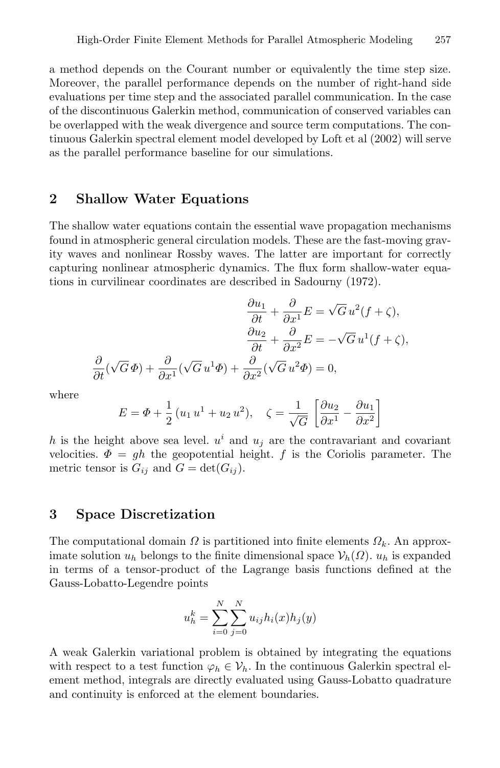a method depends on the Courant number or equivalently the time step size. Moreover, the parallel performance depends on the number of right-hand side evaluations per time step and the associated parallel communication. In the case of the discontinuous Galerkin method, communication of conserved variables can be overlapped with the weak divergence and source term computations. The continuous Galerkin spectral element model developed by Loft et al (2002) will serve as the parallel performance baseline for our simulations.

### **2 Shallow Water Equations**

The shallow water equations contain the essential wave propagation mechanisms found in atmospheric general circulation models. These are the fast-moving gravity waves and nonlinear Rossby waves. The latter are important for correctly capturing nonlinear atmospheric dynamics. The flux form shallow-water equations in curvilinear coordinates are described in Sadourny (1972).

$$
\frac{\partial u_1}{\partial t} + \frac{\partial}{\partial x^1} E = \sqrt{G} u^2 (f + \zeta),
$$

$$
\frac{\partial u_2}{\partial t} + \frac{\partial}{\partial x^2} E = -\sqrt{G} u^1 (f + \zeta),
$$

$$
\frac{\partial}{\partial t} (\sqrt{G} \Phi) + \frac{\partial}{\partial x^1} (\sqrt{G} u^1 \Phi) + \frac{\partial}{\partial x^2} (\sqrt{G} u^2 \Phi) = 0,
$$

where

$$
E = \Phi + \frac{1}{2} (u_1 u^1 + u_2 u^2), \quad \zeta = \frac{1}{\sqrt{G}} \left[ \frac{\partial u_2}{\partial x^1} - \frac{\partial u_1}{\partial x^2} \right]
$$

h is the height above sea level.  $u^i$  and  $u_j$  are the contravariant and covariant velocities.  $\Phi = gh$  the geopotential height. f is the Coriolis parameter. The metric tensor is  $G_{ij}$  and  $G = \det(G_{ij}).$ 

## **3 Space Discretization**

The computational domain  $\Omega$  is partitioned into finite elements  $\Omega_k$ . An approximate solution  $u_h$  belongs to the finite dimensional space  $\mathcal{V}_h(\Omega)$ .  $u_h$  is expanded in terms of a tensor-product of the Lagrange basis functions defined at the Gauss-Lobatto-Legendre points

$$
u_h^k = \sum_{i=0}^{N} \sum_{j=0}^{N} u_{ij} h_i(x) h_j(y)
$$

A weak Galerkin variational problem is obtained by integrating the equations with respect to a test function  $\varphi_h \in \mathcal{V}_h$ . In the continuous Galerkin spectral element method, integrals are directly evaluated using Gauss-Lobatto quadrature and continuity is enforced at the element boundaries.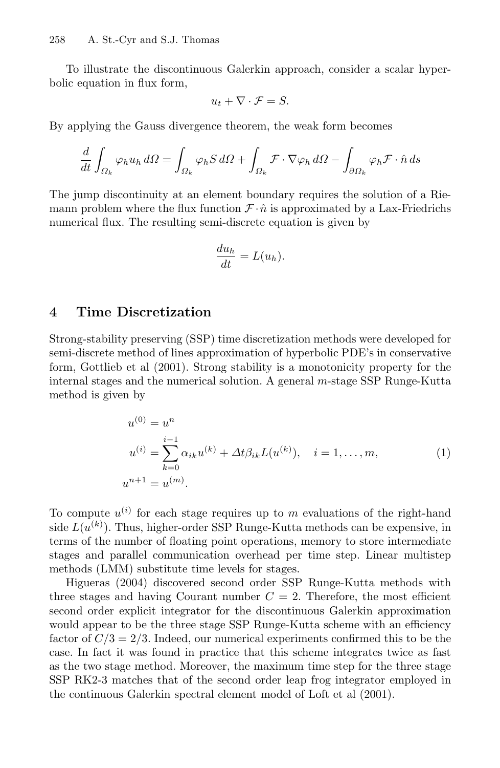To illustrate the discontinuous Galerkin approach, consider a scalar hyperbolic equation in flux form,

$$
u_t + \nabla \cdot \mathcal{F} = S.
$$

By applying the Gauss divergence theorem, the weak form becomes

$$
\frac{d}{dt} \int_{\Omega_k} \varphi_h u_h \, d\Omega = \int_{\Omega_k} \varphi_h S \, d\Omega + \int_{\Omega_k} \mathcal{F} \cdot \nabla \varphi_h \, d\Omega - \int_{\partial \Omega_k} \varphi_h \mathcal{F} \cdot \hat{n} \, ds
$$

The jump discontinuity at an element boundary requires the solution of a Riemann problem where the flux function  $\mathcal{F} \cdot \hat{n}$  is approximated by a Lax-Friedrichs numerical flux. The resulting semi-discrete equation is given by

$$
\frac{du_h}{dt} = L(u_h).
$$

## **4 Time Discretization**

Strong-stability preserving (SSP) time discretization methods were developed for semi-discrete method of lines approximation of hyperbolic PDE's in conservative form, Gottlieb et al (2001). Strong stability is a monotonicity property for the internal stages and the numerical solution. A general m-stage SSP Runge-Kutta method is given by

$$
u^{(0)} = u^n
$$
  
\n
$$
u^{(i)} = \sum_{k=0}^{i-1} \alpha_{ik} u^{(k)} + \Delta t \beta_{ik} L(u^{(k)}), \quad i = 1, ..., m,
$$
  
\n
$$
u^{n+1} = u^{(m)}.
$$
\n(1)

To compute  $u^{(i)}$  for each stage requires up to m evaluations of the right-hand side  $L(u^{(k)})$ . Thus, higher-order SSP Runge-Kutta methods can be expensive, in terms of the number of floating point operations, memory to store intermediate stages and parallel communication overhead per time step. Linear multistep methods (LMM) substitute time levels for stages.

Higueras (2004) discovered second order SSP Runge-Kutta methods with three stages and having Courant number  $C = 2$ . Therefore, the most efficient second order explicit integrator for the discontinuous Galerkin approximation would appear to be the three stage SSP Runge-Kutta scheme with an efficiency factor of  $C/3=2/3$ . Indeed, our numerical experiments confirmed this to be the case. In fact it was found in practice that this scheme integrates twice as fast as the two stage method. Moreover, the maximum time step for the three stage SSP RK2-3 matches that of the second order leap frog integrator employed in the continuous Galerkin spectral element model of Loft et al (2001).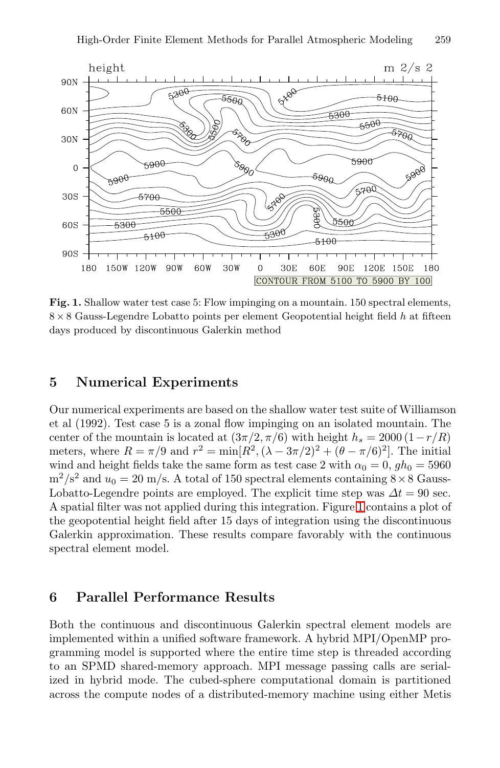

<span id="page-3-0"></span>Fig. 1. Shallow water test case 5: Flow impinging on a mountain. 150 spectral elements,  $8 \times 8$  Gauss-Legendre Lobatto points per element Geopotential height field  $h$  at fifteen days produced by discontinuous Galerkin method

### **5 Numerical Experiments**

Our numerical experiments are based on the shallow water test suite of Williamson et al (1992). Test case 5 is a zonal flow impinging on an isolated mountain. The center of the mountain is located at  $(3\pi/2, \pi/6)$  with height  $h_s = 2000(1-r/R)$ meters, where  $R = \pi/9$  and  $r^2 = \min[R^2, (\lambda - 3\pi/2)^2 + (\theta - \pi/6)^2]$ . The initial wind and height fields take the same form as test case 2 with  $\alpha_0 = 0$ ,  $gh_0 = 5960$  $m^2/s^2$  and  $u_0 = 20$  m/s. A total of 150 spectral elements containing  $8 \times 8$  Gauss-Lobatto-Legendre points are employed. The explicit time step was  $\Delta t = 90$  sec. A spatial filter was not applied during this integration. Figure [1](#page-3-0) contains a plot of the geopotential height field after 15 days of integration using the discontinuous Galerkin approximation. These results compare favorably with the continuous spectral element model.

### **6 Parallel Performance Results**

Both the continuous and discontinuous Galerkin spectral element models are implemented within a unified software framework. A hybrid MPI/OpenMP programming model is supported where the entire time step is threaded according to an SPMD shared-memory approach. MPI message passing calls are serialized in hybrid mode. The cubed-sphere computational domain is partitioned across the compute nodes of a distributed-memory machine using either Metis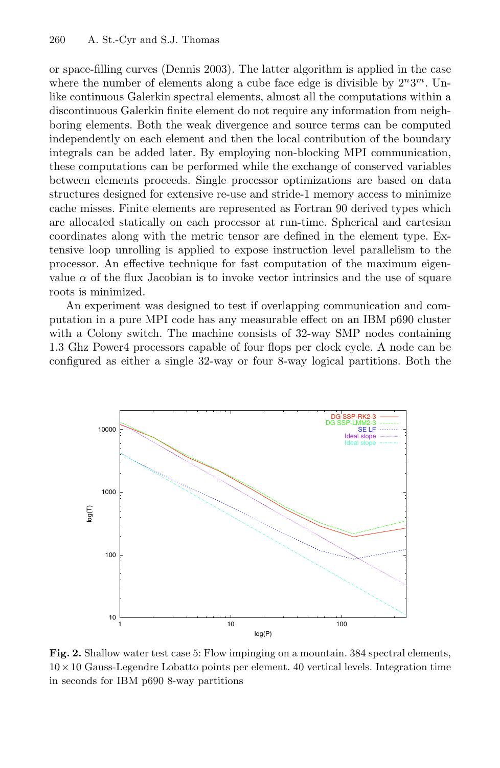or space-filling curves (Dennis 2003). The latter algorithm is applied in the case where the number of elements along a cube face edge is divisible by  $2^n 3^m$ . Unlike continuous Galerkin spectral elements, almost all the computations within a discontinuous Galerkin finite element do not require any information from neighboring elements. Both the weak divergence and source terms can be computed independently on each element and then the local contribution of the boundary integrals can be added later. By employing non-blocking MPI communication, these computations can be performed while the exchange of conserved variables between elements proceeds. Single processor optimizations are based on data structures designed for extensive re-use and stride-1 memory access to minimize cache misses. Finite elements are represented as Fortran 90 derived types which are allocated statically on each processor at run-time. Spherical and cartesian coordinates along with the metric tensor are defined in the element type. Extensive loop unrolling is applied to expose instruction level parallelism to the processor. An effective technique for fast computation of the maximum eigenvalue  $\alpha$  of the flux Jacobian is to invoke vector intrinsics and the use of square roots is minimized.

An experiment was designed to test if overlapping communication and computation in a pure MPI code has any measurable effect on an IBM p690 cluster with a Colony switch. The machine consists of 32-way SMP nodes containing 1.3 Ghz Power4 processors capable of four flops per clock cycle. A node can be configured as either a single 32-way or four 8-way logical partitions. Both the



<span id="page-4-0"></span>**Fig. 2.** Shallow water test case 5: Flow impinging on a mountain. 384 spectral elements,  $10 \times 10$  Gauss-Legendre Lobatto points per element. 40 vertical levels. Integration time in seconds for IBM p690 8-way partitions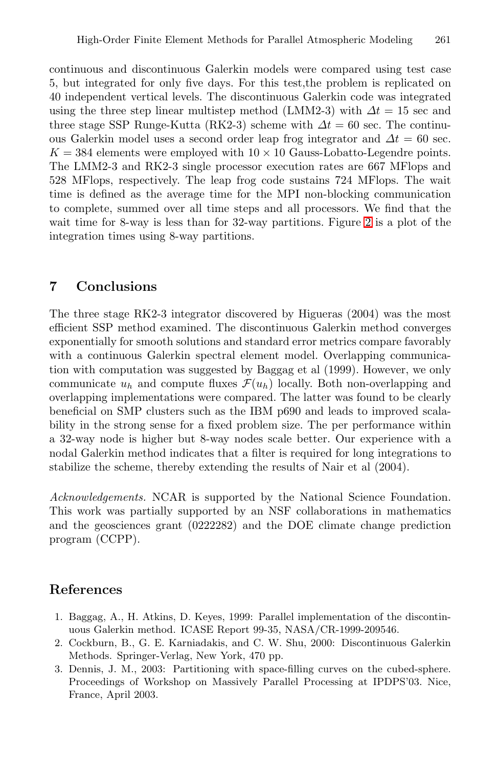continuous and discontinuous Galerkin models were compared using test case 5, but integrated for only five days. For this test,the problem is replicated on 40 independent vertical levels. The discontinuous Galerkin code was integrated using the three step linear multistep method (LMM2-3) with  $\Delta t = 15$  sec and three stage SSP Runge-Kutta (RK2-3) scheme with  $\Delta t = 60$  sec. The continuous Galerkin model uses a second order leap frog integrator and  $\Delta t = 60$  sec.  $K = 384$  elements were employed with  $10 \times 10$  Gauss-Lobatto-Legendre points. The LMM2-3 and RK2-3 single processor execution rates are 667 MFlops and 528 MFlops, respectively. The leap frog code sustains 724 MFlops. The wait time is defined as the average time for the MPI non-blocking communication to complete, summed over all time steps and all processors. We find that the wait time for 8-way is less than for 32-way partitions. Figure [2](#page-4-0) is a plot of the integration times using 8-way partitions.

# **7 Conclusions**

The three stage RK2-3 integrator discovered by Higueras (2004) was the most efficient SSP method examined. The discontinuous Galerkin method converges exponentially for smooth solutions and standard error metrics compare favorably with a continuous Galerkin spectral element model. Overlapping communication with computation was suggested by Baggag et al (1999). However, we only communicate  $u_h$  and compute fluxes  $\mathcal{F}(u_h)$  locally. Both non-overlapping and overlapping implementations were compared. The latter was found to be clearly beneficial on SMP clusters such as the IBM p690 and leads to improved scalability in the strong sense for a fixed problem size. The per performance within a 32-way node is higher but 8-way nodes scale better. Our experience with a nodal Galerkin method indicates that a filter is required for long integrations to stabilize the scheme, thereby extending the results of Nair et al (2004).

Acknowledgements. NCAR is supported by the National Science Foundation. This work was partially supported by an NSF collaborations in mathematics and the geosciences grant (0222282) and the DOE climate change prediction program (CCPP).

# **References**

- 1. Baggag, A., H. Atkins, D. Keyes, 1999: Parallel implementation of the discontinuous Galerkin method. ICASE Report 99-35, NASA/CR-1999-209546.
- 2. Cockburn, B., G. E. Karniadakis, and C. W. Shu, 2000: Discontinuous Galerkin Methods. Springer-Verlag, New York, 470 pp.
- 3. Dennis, J. M., 2003: Partitioning with space-filling curves on the cubed-sphere. Proceedings of Workshop on Massively Parallel Processing at IPDPS'03. Nice, France, April 2003.